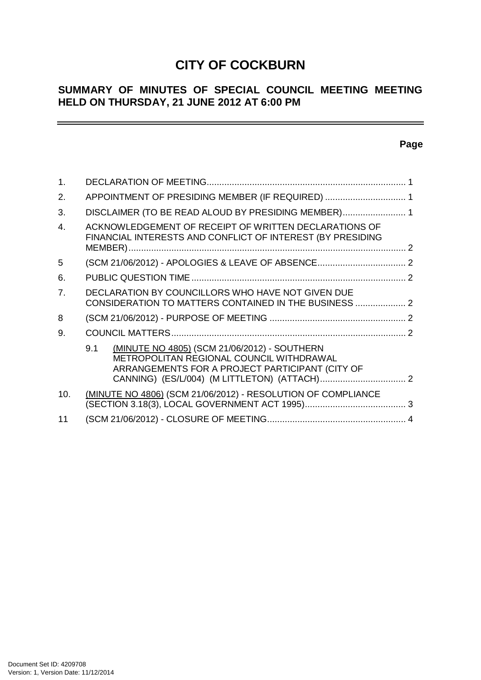# **CITY OF COCKBURN**

# **SUMMARY OF MINUTES OF SPECIAL COUNCIL MEETING MEETING HELD ON THURSDAY, 21 JUNE 2012 AT 6:00 PM**

## **Page**

| $\mathbf 1$ .    |                                                                                                                                                    |  |
|------------------|----------------------------------------------------------------------------------------------------------------------------------------------------|--|
| 2.               | APPOINTMENT OF PRESIDING MEMBER (IF REQUIRED)  1                                                                                                   |  |
| 3.               | DISCLAIMER (TO BE READ ALOUD BY PRESIDING MEMBER) 1                                                                                                |  |
| $\overline{4}$ . | ACKNOWLEDGEMENT OF RECEIPT OF WRITTEN DECLARATIONS OF<br>FINANCIAL INTERESTS AND CONFLICT OF INTEREST (BY PRESIDING                                |  |
| 5                |                                                                                                                                                    |  |
| 6.               |                                                                                                                                                    |  |
| 7.               | DECLARATION BY COUNCILLORS WHO HAVE NOT GIVEN DUE<br>CONSIDERATION TO MATTERS CONTAINED IN THE BUSINESS  2                                         |  |
| 8                |                                                                                                                                                    |  |
| 9.               |                                                                                                                                                    |  |
|                  | (MINUTE NO 4805) (SCM 21/06/2012) - SOUTHERN<br>9.1<br>METROPOLITAN REGIONAL COUNCIL WITHDRAWAL<br>ARRANGEMENTS FOR A PROJECT PARTICIPANT (CITY OF |  |
| 10.              | (MINUTE NO 4806) (SCM 21/06/2012) - RESOLUTION OF COMPLIANCE                                                                                       |  |
| 11               |                                                                                                                                                    |  |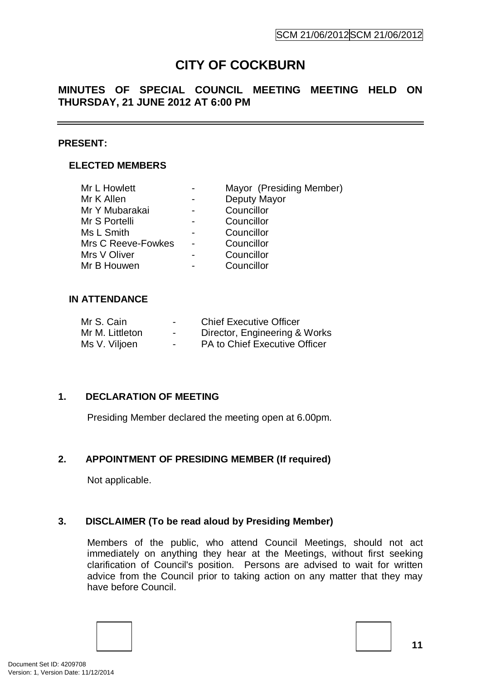# **CITY OF COCKBURN**

## **MINUTES OF SPECIAL COUNCIL MEETING MEETING HELD ON THURSDAY, 21 JUNE 2012 AT 6:00 PM**

### **PRESENT:**

## **ELECTED MEMBERS**

| Mr L Howlett       |                | Mayor (Presiding Member) |  |
|--------------------|----------------|--------------------------|--|
| Mr K Allen         |                | Deputy Mayor             |  |
| Mr Y Mubarakai     |                | Councillor               |  |
| Mr S Portelli      |                | Councillor               |  |
| Ms L Smith         | $\blacksquare$ | Councillor               |  |
| Mrs C Reeve-Fowkes |                | Councillor               |  |
| Mrs V Oliver       |                | Councillor               |  |
| Mr B Houwen        |                | Councillor               |  |
|                    |                |                          |  |

#### **IN ATTENDANCE**

| Mr S. Cain      | $\blacksquare$ | <b>Chief Executive Officer</b> |
|-----------------|----------------|--------------------------------|
| Mr M. Littleton | $\blacksquare$ | Director, Engineering & Works  |
| Ms V. Viljoen   | $\blacksquare$ | PA to Chief Executive Officer  |

## **1. DECLARATION OF MEETING**

Presiding Member declared the meeting open at 6.00pm.

## **2. APPOINTMENT OF PRESIDING MEMBER (If required)**

Not applicable.

## **3. DISCLAIMER (To be read aloud by Presiding Member)**

Members of the public, who attend Council Meetings, should not act immediately on anything they hear at the Meetings, without first seeking clarification of Council's position. Persons are advised to wait for written advice from the Council prior to taking action on any matter that they may have before Council.



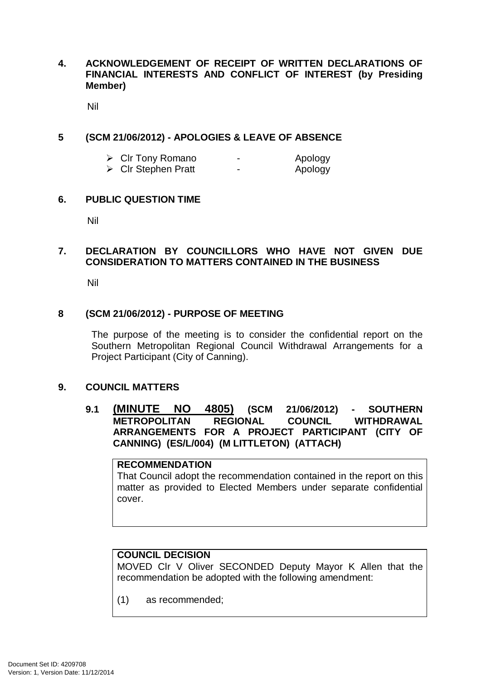## **4. ACKNOWLEDGEMENT OF RECEIPT OF WRITTEN DECLARATIONS OF FINANCIAL INTERESTS AND CONFLICT OF INTEREST (by Presiding Member)**

Nil

### **5 (SCM 21/06/2012) - APOLOGIES & LEAVE OF ABSENCE**

| $\triangleright$ Clr Tony Romano   | - | Apology |
|------------------------------------|---|---------|
| $\triangleright$ Cir Stephen Pratt | - | Apology |

#### **6. PUBLIC QUESTION TIME**

Nil

## **7. DECLARATION BY COUNCILLORS WHO HAVE NOT GIVEN DUE CONSIDERATION TO MATTERS CONTAINED IN THE BUSINESS**

Nil

#### **8 (SCM 21/06/2012) - PURPOSE OF MEETING**

The purpose of the meeting is to consider the confidential report on the Southern Metropolitan Regional Council Withdrawal Arrangements for a Project Participant (City of Canning).

#### **9. COUNCIL MATTERS**

### **9.1 (MINUTE NO 4805) (SCM 21/06/2012) - SOUTHERN METROPOLITAN ARRANGEMENTS FOR A PROJECT PARTICIPANT (CITY OF CANNING) (ES/L/004) (M LITTLETON) (ATTACH)**

#### **RECOMMENDATION**

That Council adopt the recommendation contained in the report on this matter as provided to Elected Members under separate confidential cover.

#### **COUNCIL DECISION**

MOVED Clr V Oliver SECONDED Deputy Mayor K Allen that the recommendation be adopted with the following amendment:

(1) as recommended;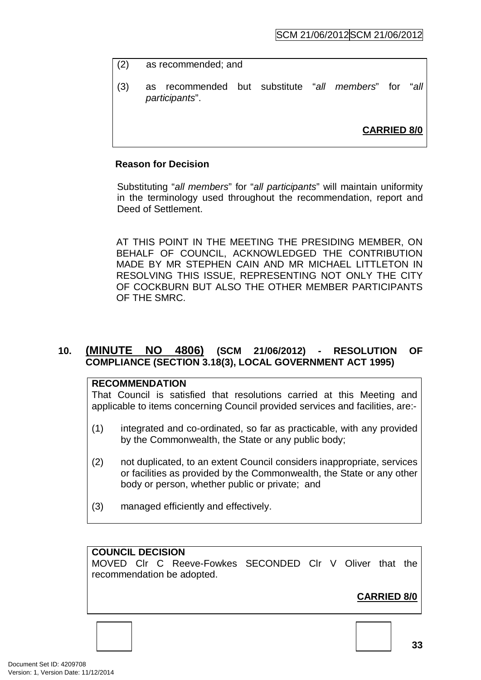- (2) as recommended; and
- (3) as recommended but substitute "*all members*" for "*all participants*".

**CARRIED 8/0**

#### **Reason for Decision**

Substituting "*all members*" for "*all participants*" will maintain uniformity in the terminology used throughout the recommendation, report and Deed of Settlement.

AT THIS POINT IN THE MEETING THE PRESIDING MEMBER, ON BEHALF OF COUNCIL, ACKNOWLEDGED THE CONTRIBUTION MADE BY MR STEPHEN CAIN AND MR MICHAEL LITTLETON IN RESOLVING THIS ISSUE, REPRESENTING NOT ONLY THE CITY OF COCKBURN BUT ALSO THE OTHER MEMBER PARTICIPANTS OF THE SMRC.

## **10. (MINUTE NO 4806) (SCM 21/06/2012) - RESOLUTION OF COMPLIANCE (SECTION 3.18(3), LOCAL GOVERNMENT ACT 1995)**

#### **RECOMMENDATION**

That Council is satisfied that resolutions carried at this Meeting and applicable to items concerning Council provided services and facilities, are:-

- (1) integrated and co-ordinated, so far as practicable, with any provided by the Commonwealth, the State or any public body;
- (2) not duplicated, to an extent Council considers inappropriate, services or facilities as provided by the Commonwealth, the State or any other body or person, whether public or private; and
- (3) managed efficiently and effectively.

#### **COUNCIL DECISION**

MOVED Clr C Reeve-Fowkes SECONDED Clr V Oliver that the recommendation be adopted.

# **CARRIED 8/0**